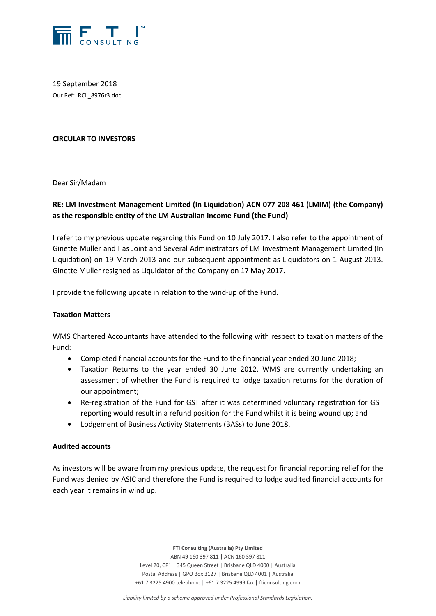

19 September 2018 Our Ref: RCL\_8976r3.doc

## **CIRCULAR TO INVESTORS**

Dear Sir/Madam

# **RE: LM Investment Management Limited (In Liquidation) ACN 077 208 461 (LMIM) (the Company) as the responsible entity of the LM Australian Income Fund (the Fund)**

I refer to my previous update regarding this Fund on 10 July 2017. I also refer to the appointment of Ginette Muller and I as Joint and Several Administrators of LM Investment Management Limited (In Liquidation) on 19 March 2013 and our subsequent appointment as Liquidators on 1 August 2013. Ginette Muller resigned as Liquidator of the Company on 17 May 2017.

I provide the following update in relation to the wind-up of the Fund.

#### **Taxation Matters**

WMS Chartered Accountants have attended to the following with respect to taxation matters of the Fund:

- Completed financial accounts for the Fund to the financial year ended 30 June 2018;
- Taxation Returns to the year ended 30 June 2012. WMS are currently undertaking an assessment of whether the Fund is required to lodge taxation returns for the duration of our appointment;
- Re-registration of the Fund for GST after it was determined voluntary registration for GST reporting would result in a refund position for the Fund whilst it is being wound up; and
- Lodgement of Business Activity Statements (BASs) to June 2018.

#### **Audited accounts**

As investors will be aware from my previous update, the request for financial reporting relief for the Fund was denied by ASIC and therefore the Fund is required to lodge audited financial accounts for each year it remains in wind up.

**FTI Consulting (Australia) Pty Limited**

ABN 49 160 397 811 | ACN 160 397 811 Level 20, CP1 | 345 Queen Street | Brisbane QLD 4000 | Australia Postal Address | GPO Box 3127 | Brisbane QLD 4001 | Australia +61 7 3225 4900 telephone | +61 7 3225 4999 fax | fticonsulting.com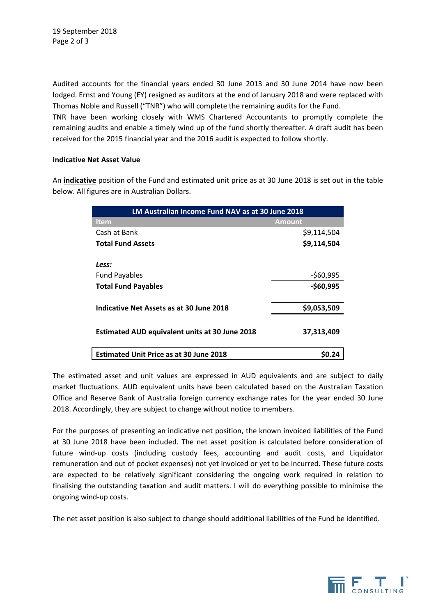Audited accounts for the financial years ended 30 June 2013 and 30 June 2014 have now been lodged. Ernst and Young (EY) resigned as auditors at the end of January 2018 and were replaced with Thomas Noble and Russell ("TNR") who will complete the remaining audits for the Fund.

TNR have been working closely with WMS Chartered Accountants to promptly complete the remaining audits and enable a timely wind up of the fund shortly thereafter. A draft audit has been received for the 2015 financial year and the 2016 audit is expected to follow shortly.

# **Indicative Net Asset Value**

An **indicative** position of the Fund and estimated unit price as at 30 June 2018 is set out in the table below. All figures are in Australian Dollars.

| <b>LM Australian Income Fund NAV as at 30 June 2018</b> |               |
|---------------------------------------------------------|---------------|
| <b>Item</b>                                             | <b>Amount</b> |
| Cash at Bank                                            | \$9,114,504   |
| <b>Total Fund Assets</b>                                | \$9,114,504   |
|                                                         |               |
| Less:                                                   |               |
| <b>Fund Payables</b>                                    | $-560,995$    |
| <b>Total Fund Payables</b>                              | $-$60,995$    |
|                                                         |               |
| Indicative Net Assets as at 30 June 2018                | \$9,053,509   |
|                                                         |               |
| <b>Estimated AUD equivalent units at 30 June 2018</b>   | 37,313,409    |
|                                                         |               |
| <b>Estimated Unit Price as at 30 June 2018</b>          | S0.24         |

The estimated asset and unit values are expressed in AUD equivalents and are subject to daily market fluctuations. AUD equivalent units have been calculated based on the Australian Taxation Office and Reserve Bank of Australia foreign currency exchange rates for the year ended 30 June 2018. Accordingly, they are subject to change without notice to members.

For the purposes of presenting an indicative net position, the known invoiced liabilities of the Fund at 30 June 2018 have been included. The net asset position is calculated before consideration of future wind-up costs (including custody fees, accounting and audit costs, and Liquidator remuneration and out of pocket expenses) not yet invoiced or yet to be incurred. These future costs are expected to be relatively significant considering the ongoing work required in relation to finalising the outstanding taxation and audit matters. I will do everything possible to minimise the ongoing wind-up costs.

The net asset position is also subject to change should additional liabilities of the Fund be identified.